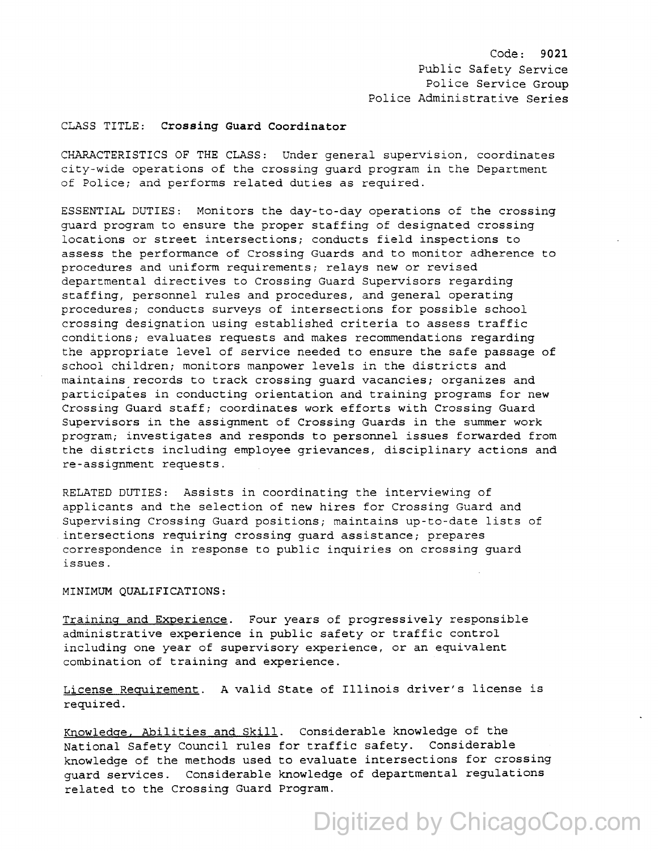Code: **9021**  Public Safety Service Police Service Group Police Administrative Series

## CLASS TITLE: **Crossing Guard Coordinator**

CHARACTERISTICS OF THE CLASS: Under general supervision, coordinates city-wide operations of the crossing guard program in the Department of Police; and performs related duties as required.

ESSENTIAL DUTIES: Monitors the day-to-day operations of the crossing guard program to ensure the proper staffing of designated crossing locations or street intersections; conducts field inspections to assess the performance of Crossing Guards and to monitor adherence to procedures and uniform requirements; relays new or revised departmental directives to Crossing Guard Supervisors regarding staffing, personnel rules and procedures, and general operating procedures; conducts surveys of intersections for possible school crossing designation using established criteria to assess traffic conditions; evaluates requests and makes recommendations regarding the appropriate level of service needed to ensure the safe passage of school children; monitors manpower levels in the districts and maintains records to track crossing guard vacancies; organizes and participates in conducting orientation and training programs for new Crossing Guard staff; coordinates work efforts with Crossing Guard Supervisors in the assignment of Crossing Guards in the summer work program; investigates and responds to personnel issues forwarded from the districts including employee grievances, disciplinary actions and re-assignment requests.

RELATED DUTIES: Assists in coordinating the interviewing of applicants and the selection of new hires for Crossing Guard and Supervising Crossing Guard positions; maintains up-to-date lists of intersections requiring crossing guard assistance; prepares correspondence in response to public inquiries on crossing guard issues.

## MINIMUM QUALIFICATIONS:

Training and Experience. Four years of progressively responsible administrative experience in public safety or traffic control including one year of supervisory experience, or an equivalent combination of training and experience.

License Requirement. A valid State of Illinois driver's license is required.

Knowledge. Abilities and Skill. Considerable knowledge of the National Safety Council rules for traffic safety. Considerable knowledge of the methods used to evaluate intersections for crossing guard services. Considerable knowledge of departmental regulations related to the Crossing Guard Program.

## Digitized by ChicagoCop.com